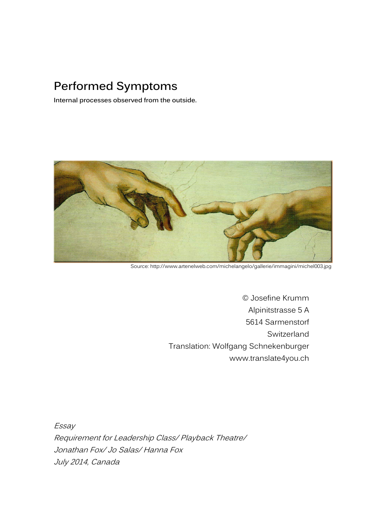## **Performed Symptoms**

**Internal processes observed from the outside.** 



Source: http://www.artenelweb.com/michelangelo/gallerie/immagini/michel003.jpg

© Josefine Krumm Alpinitstrasse 5 A 5614 Sarmenstorf **Switzerland** Translation: Wolfgang Schnekenburger www.translate4you.ch

Essay

Requirement for Leadership Class/ Playback Theatre/ Jonathan Fox/ Jo Salas/ Hanna Fox July 2014, Canada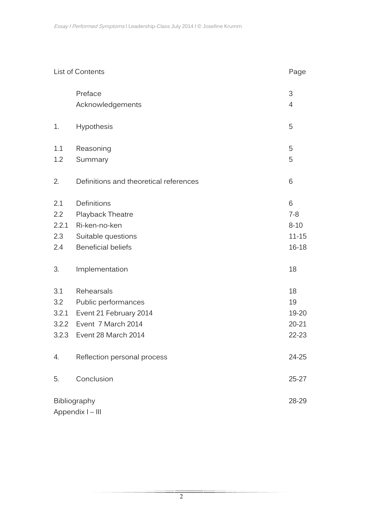| List of Contents |                                        |   | Page      |
|------------------|----------------------------------------|---|-----------|
|                  | Preface                                | 3 |           |
|                  | Acknowledgements                       | 4 |           |
| 1.               | Hypothesis                             | 5 |           |
| 1.1              | Reasoning                              | 5 |           |
| 1.2              | Summary                                | 5 |           |
| 2.               | Definitions and theoretical references | 6 |           |
| 2.1              | Definitions                            | 6 |           |
| 2.2              | Playback Theatre                       |   | $7 - 8$   |
| 2.2.1            | Ri-ken-no-ken                          |   | $8 - 10$  |
| 2.3              | Suitable questions                     |   | $11 - 15$ |
| 2.4              | <b>Beneficial beliefs</b>              |   | 16-18     |
| 3.               | Implementation                         |   | 18        |
| 3.1              | Rehearsals                             |   | 18        |
| 3.2              | Public performances                    |   | 19        |
| 3.2.1            | Event 21 February 2014                 |   | 19-20     |
| 3.2.2            | Event 7 March 2014                     |   | 20-21     |
| 3.2.3            | Event 28 March 2014                    |   | $22 - 23$ |
| 4.               | Reflection personal process            |   | 24-25     |
| 5.               | Conclusion                             |   | $25 - 27$ |
| Bibliography     |                                        |   | 28-29     |
| Appendix I - III |                                        |   |           |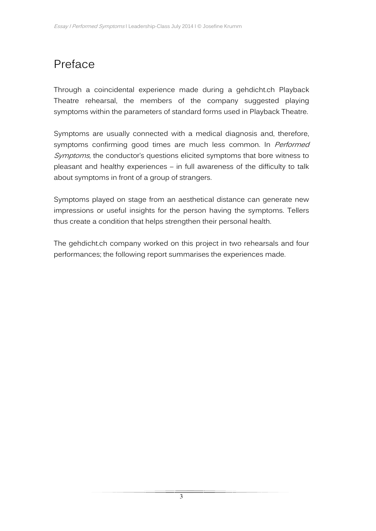# Preface

Through a coincidental experience made during a gehdicht.ch Playback Theatre rehearsal, the members of the company suggested playing symptoms within the parameters of standard forms used in Playback Theatre.

Symptoms are usually connected with a medical diagnosis and, therefore, symptoms confirming good times are much less common. In Performed Symptoms, the conductor's questions elicited symptoms that bore witness to pleasant and healthy experiences – in full awareness of the difficulty to talk about symptoms in front of a group of strangers.

Symptoms played on stage from an aesthetical distance can generate new impressions or useful insights for the person having the symptoms. Tellers thus create a condition that helps strengthen their personal health.

The gehdicht.ch company worked on this project in two rehearsals and four performances; the following report summarises the experiences made.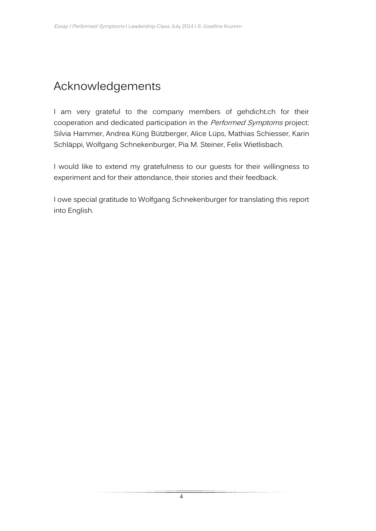## Acknowledgements

I am very grateful to the company members of gehdicht.ch for their cooperation and dedicated participation in the Performed Symptoms project: Silvia Hammer, Andrea Küng Bützberger, Alice Lüps, Mathias Schiesser, Karin Schläppi, Wolfgang Schnekenburger, Pia M. Steiner, Felix Wietlisbach.

I would like to extend my gratefulness to our guests for their willingness to experiment and for their attendance, their stories and their feedback.

I owe special gratitude to Wolfgang Schnekenburger for translating this report into English.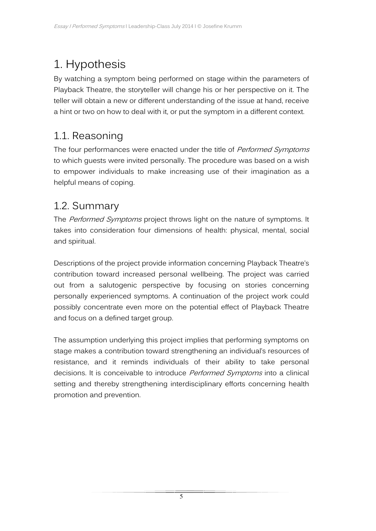# 1. Hypothesis

By watching a symptom being performed on stage within the parameters of Playback Theatre, the storyteller will change his or her perspective on it. The teller will obtain a new or different understanding of the issue at hand, receive a hint or two on how to deal with it, or put the symptom in a different context.

### 1.1. Reasoning

The four performances were enacted under the title of *Performed Symptoms* to which guests were invited personally. The procedure was based on a wish to empower individuals to make increasing use of their imagination as a helpful means of coping.

### 1.2. Summary

The Performed Symptoms project throws light on the nature of symptoms. It takes into consideration four dimensions of health: physical, mental, social and spiritual.

Descriptions of the project provide information concerning Playback Theatre's contribution toward increased personal wellbeing. The project was carried out from a salutogenic perspective by focusing on stories concerning personally experienced symptoms. A continuation of the project work could possibly concentrate even more on the potential effect of Playback Theatre and focus on a defined target group.

The assumption underlying this project implies that performing symptoms on stage makes a contribution toward strengthening an individual's resources of resistance, and it reminds individuals of their ability to take personal decisions. It is conceivable to introduce *Performed Symptoms* into a clinical setting and thereby strengthening interdisciplinary efforts concerning health promotion and prevention.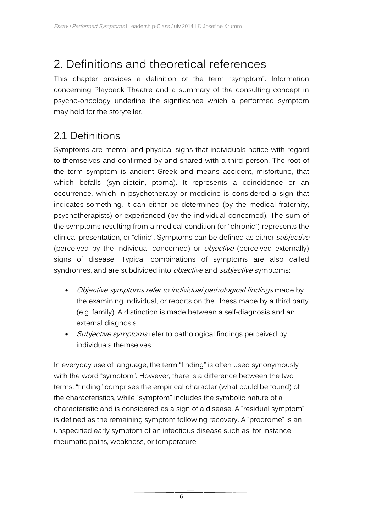## 2. Definitions and theoretical references

This chapter provides a definition of the term "symptom". Information concerning Playback Theatre and a summary of the consulting concept in psycho-oncology underline the significance which a performed symptom may hold for the storyteller.

### 2.1 Definitions

Symptoms are mental and physical signs that individuals notice with regard to themselves and confirmed by and shared with a third person. The root of the term symptom is ancient Greek and means accident, misfortune, that which befalls (syn-piptein, ptoma). It represents a coincidence or an occurrence, which in psychotherapy or medicine is considered a sign that indicates something. It can either be determined (by the medical fraternity, psychotherapists) or experienced (by the individual concerned). The sum of the symptoms resulting from a medical condition (or "chronic") represents the clinical presentation, or "clinic". Symptoms can be defined as either *subjective* (perceived by the individual concerned) or *objective* (perceived externally) signs of disease. Typical combinations of symptoms are also called syndromes, and are subdivided into *objective* and *subjective* symptoms:

- Objective symptoms refer to individual pathological findings made by the examining individual, or reports on the illness made by a third party (e.g. family). A distinction is made between a self-diagnosis and an external diagnosis.
- Subjective symptoms refer to pathological findings perceived by individuals themselves.

In everyday use of language, the term "finding" is often used synonymously with the word "symptom". However, there is a difference between the two terms: "finding" comprises the empirical character (what could be found) of the characteristics, while "symptom" includes the symbolic nature of a characteristic and is considered as a sign of a disease. A "residual symptom" is defined as the remaining symptom following recovery. A "prodrome" is an unspecified early symptom of an infectious disease such as, for instance, rheumatic pains, weakness, or temperature.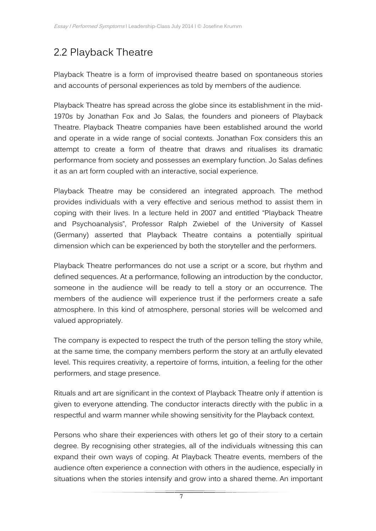## 2.2 Playback Theatre

Playback Theatre is a form of improvised theatre based on spontaneous stories and accounts of personal experiences as told by members of the audience.

Playback Theatre has spread across the globe since its establishment in the mid-1970s by Jonathan Fox and Jo Salas, the founders and pioneers of Playback Theatre. Playback Theatre companies have been established around the world and operate in a wide range of social contexts. Jonathan Fox considers this an attempt to create a form of theatre that draws and ritualises its dramatic performance from society and possesses an exemplary function. Jo Salas defines it as an art form coupled with an interactive, social experience.

Playback Theatre may be considered an integrated approach. The method provides individuals with a very effective and serious method to assist them in coping with their lives. In a lecture held in 2007 and entitled "Playback Theatre and Psychoanalysis", Professor Ralph Zwiebel of the University of Kassel (Germany) asserted that Playback Theatre contains a potentially spiritual dimension which can be experienced by both the storyteller and the performers.

Playback Theatre performances do not use a script or a score, but rhythm and defined sequences. At a performance, following an introduction by the conductor, someone in the audience will be ready to tell a story or an occurrence. The members of the audience will experience trust if the performers create a safe atmosphere. In this kind of atmosphere, personal stories will be welcomed and valued appropriately.

The company is expected to respect the truth of the person telling the story while, at the same time, the company members perform the story at an artfully elevated level. This requires creativity, a repertoire of forms, intuition, a feeling for the other performers, and stage presence.

Rituals and art are significant in the context of Playback Theatre only if attention is given to everyone attending. The conductor interacts directly with the public in a respectful and warm manner while showing sensitivity for the Playback context.

Persons who share their experiences with others let go of their story to a certain degree. By recognising other strategies, all of the individuals witnessing this can expand their own ways of coping. At Playback Theatre events, members of the audience often experience a connection with others in the audience, especially in situations when the stories intensify and grow into a shared theme. An important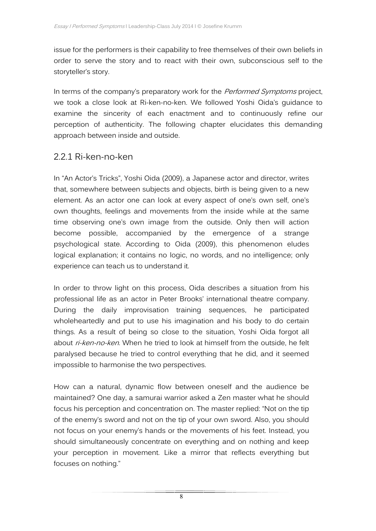issue for the performers is their capability to free themselves of their own beliefs in order to serve the story and to react with their own, subconscious self to the storyteller's story.

In terms of the company's preparatory work for the *Performed Symptoms* project, we took a close look at Ri-ken-no-ken. We followed Yoshi Oida's guidance to examine the sincerity of each enactment and to continuously refine our perception of authenticity. The following chapter elucidates this demanding approach between inside and outside.

#### 2.2.1 Ri-ken-no-ken

In "An Actor's Tricks", Yoshi Oida (2009), a Japanese actor and director, writes that, somewhere between subjects and objects, birth is being given to a new element. As an actor one can look at every aspect of one's own self, one's own thoughts, feelings and movements from the inside while at the same time observing one's own image from the outside. Only then will action become possible, accompanied by the emergence of a strange psychological state. According to Oida (2009), this phenomenon eludes logical explanation; it contains no logic, no words, and no intelligence; only experience can teach us to understand it.

In order to throw light on this process, Oida describes a situation from his professional life as an actor in Peter Brooks' international theatre company. During the daily improvisation training sequences, he participated wholeheartedly and put to use his imagination and his body to do certain things. As a result of being so close to the situation, Yoshi Oida forgot all about ri-ken-no-ken. When he tried to look at himself from the outside, he felt paralysed because he tried to control everything that he did, and it seemed impossible to harmonise the two perspectives.

How can a natural, dynamic flow between oneself and the audience be maintained? One day, a samurai warrior asked a Zen master what he should focus his perception and concentration on. The master replied: "Not on the tip of the enemy's sword and not on the tip of your own sword. Also, you should not focus on your enemy's hands or the movements of his feet. Instead, you should simultaneously concentrate on everything and on nothing and keep your perception in movement. Like a mirror that reflects everything but focuses on nothing."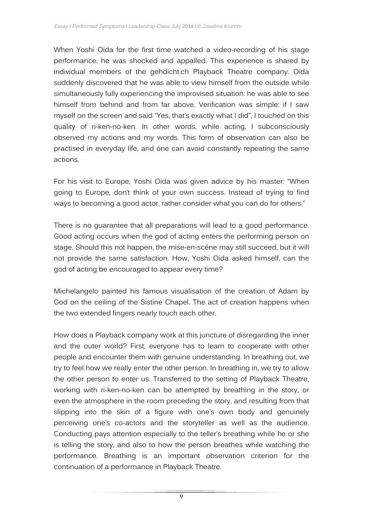When Yoshi Oida for the first time watched a video-recording of his stage performance, he was shocked and appalled. This experience is shared by individual members of the gehdicht.ch Playback Theatre company. Oida suddenly discovered that he was able to view himself from the outside while simultaneously fully experiencing the improvised situation: he was able to see himself from behind and from far above. Verification was simple: if I saw myself on the screen and said "Yes, that's exactly what I did", I touched on this quality of ri-ken-no-ken. In other words, while acting, I subconsciously observed my actions and my words. This form of observation can also be practised in everyday life, and one can avoid constantly repeating the same actions.

For his visit to Europe, Yoshi Oida was given advice by his master: "When going to Europe, don't think of your own success. Instead of trying to find ways to becoming a good actor, rather consider what you can do for others."

There is no guarantee that all preparations will lead to a good performance. Good acting occurs when the god of acting enters the performing person on stage. Should this not happen, the mise-en-scéne may still succeed, but it will not provide the same satisfaction. How, Yoshi Oida asked himself, can the god of acting be encouraged to appear every time?

Michelangelo painted his famous visualisation of the creation of Adam by God on the ceiling of the Sistine Chapel. The act of creation happens when the two extended fingers nearly touch each other.

How does a Playback company work at this juncture of disregarding the inner and the outer world? First, everyone has to learn to cooperate with other people and encounter them with genuine understanding. In breathing out, we try to feel how we really enter the other person. In breathing in, we try to allow the other person to enter us. Transferred to the setting of Playback Theatre, working with ri-ken-no-ken can be attempted by breathing in the story, or even the atmosphere in the room preceding the story, and resulting from that slipping into the skin of a figure with one's own body and genuinely perceiving one's co-actors and the storyteller as well as the audience. Conducting pays attention especially to the teller's breathing while he or she is telling the story, and also to how the person breathes while watching the performance. Breathing is an important observation criterion for the continuation of a performance in Playback Theatre.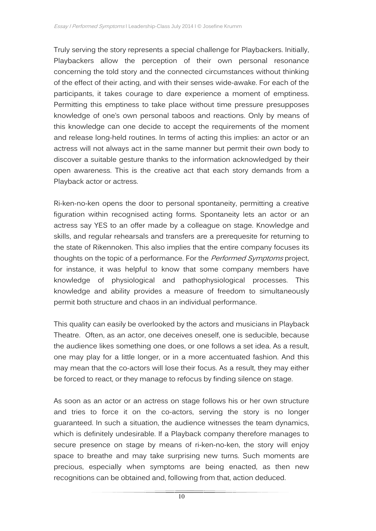Truly serving the story represents a special challenge for Playbackers. Initially, Playbackers allow the perception of their own personal resonance concerning the told story and the connected circumstances without thinking of the effect of their acting, and with their senses wide-awake. For each of the participants, it takes courage to dare experience a moment of emptiness. Permitting this emptiness to take place without time pressure presupposes knowledge of one's own personal taboos and reactions. Only by means of this knowledge can one decide to accept the requirements of the moment and release long-held routines. In terms of acting this implies: an actor or an actress will not always act in the same manner but permit their own body to discover a suitable gesture thanks to the information acknowledged by their open awareness. This is the creative act that each story demands from a Playback actor or actress.

Ri-ken-no-ken opens the door to personal spontaneity, permitting a creative figuration within recognised acting forms. Spontaneity lets an actor or an actress say YES to an offer made by a colleague on stage. Knowledge and skills, and regular rehearsals and transfers are a prerequesite for returning to the state of Rikennoken. This also implies that the entire company focuses its thoughts on the topic of a performance. For the Performed Symptoms project, for instance, it was helpful to know that some company members have knowledge of physiological and pathophysiological processes. This knowledge and ability provides a measure of freedom to simultaneously permit both structure and chaos in an individual performance.

This quality can easily be overlooked by the actors and musicians in Playback Theatre. Often, as an actor, one deceives oneself, one is seducible, because the audience likes something one does, or one follows a set idea. As a result, one may play for a little longer, or in a more accentuated fashion. And this may mean that the co-actors will lose their focus. As a result, they may either be forced to react, or they manage to refocus by finding silence on stage.

As soon as an actor or an actress on stage follows his or her own structure and tries to force it on the co-actors, serving the story is no longer guaranteed. In such a situation, the audience witnesses the team dynamics, which is definitely undesirable. If a Playback company therefore manages to secure presence on stage by means of ri-ken-no-ken, the story will enjoy space to breathe and may take surprising new turns. Such moments are precious, especially when symptoms are being enacted, as then new recognitions can be obtained and, following from that, action deduced.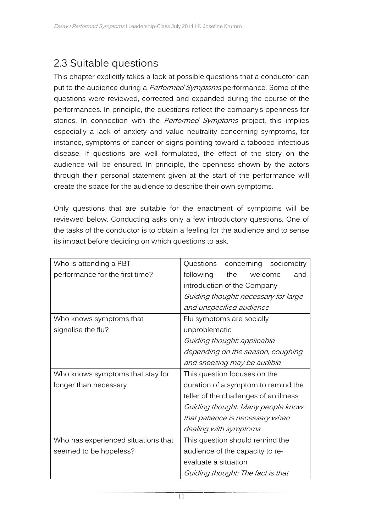### 2.3 Suitable questions

This chapter explicitly takes a look at possible questions that a conductor can put to the audience during a *Performed Symptoms* performance. Some of the questions were reviewed, corrected and expanded during the course of the performances. In principle, the questions reflect the company's openness for stories. In connection with the *Performed Symptoms* project, this implies especially a lack of anxiety and value neutrality concerning symptoms, for instance, symptoms of cancer or signs pointing toward a tabooed infectious disease. If questions are well formulated, the effect of the story on the audience will be ensured. In principle, the openness shown by the actors through their personal statement given at the start of the performance will create the space for the audience to describe their own symptoms.

Only questions that are suitable for the enactment of symptoms will be reviewed below. Conducting asks only a few introductory questions. One of the tasks of the conductor is to obtain a feeling for the audience and to sense its impact before deciding on which questions to ask.

| Who is attending a PBT              | Questions<br>concerning<br>sociometry  |  |  |
|-------------------------------------|----------------------------------------|--|--|
| performance for the first time?     | following<br>the<br>welcome<br>and     |  |  |
|                                     | introduction of the Company            |  |  |
|                                     | Guiding thought: necessary for large   |  |  |
|                                     | and unspecified audience               |  |  |
| Who knows symptoms that             | Flu symptoms are socially              |  |  |
| signalise the flu?                  | unproblematic                          |  |  |
|                                     | Guiding thought: applicable            |  |  |
|                                     | depending on the season, coughing      |  |  |
|                                     | and sneezing may be audible            |  |  |
| Who knows symptoms that stay for    | This question focuses on the           |  |  |
| longer than necessary               | duration of a symptom to remind the    |  |  |
|                                     | teller of the challenges of an illness |  |  |
|                                     | Guiding thought: Many people know      |  |  |
|                                     | that patience is necessary when        |  |  |
|                                     | dealing with symptoms                  |  |  |
| Who has experienced situations that | This question should remind the        |  |  |
| seemed to be hopeless?              | audience of the capacity to re-        |  |  |
|                                     | evaluate a situation                   |  |  |
|                                     | Guiding thought: The fact is that      |  |  |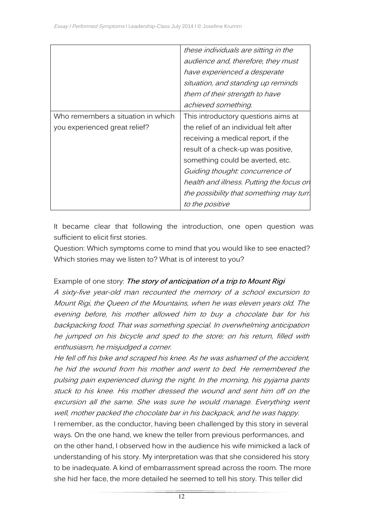|                                    | these individuals are sitting in the     |
|------------------------------------|------------------------------------------|
|                                    | audience and, therefore, they must       |
|                                    | have experienced a desperate             |
|                                    | situation, and standing up reminds       |
|                                    | them of their strength to have           |
|                                    | achieved something.                      |
| Who remembers a situation in which | This introductory questions aims at      |
| you experienced great relief?      | the relief of an individual felt after   |
|                                    | receiving a medical report, if the       |
|                                    | result of a check-up was positive,       |
|                                    | something could be averted, etc.         |
|                                    | Guiding thought: concurrence of          |
|                                    | health and illness. Putting the focus on |
|                                    | the possibility that something may turn  |
|                                    | to the positive                          |

It became clear that following the introduction, one open question was sufficient to elicit first stories.

Question: Which symptoms come to mind that you would like to see enacted? Which stories may we listen to? What is of interest to you?

#### Example of one story: **The story of anticipation of a trip to Mount Rigi**

A sixty-five year-old man recounted the memory of a school excursion to Mount Rigi, the Queen of the Mountains, when he was eleven years old. The evening before, his mother allowed him to buy a chocolate bar for his backpacking food. That was something special. In overwhelming anticipation he jumped on his bicycle and sped to the store; on his return, filled with enthusiasm, he misjudged a corner.

He fell off his bike and scraped his knee. As he was ashamed of the accident, he hid the wound from his mother and went to bed. He remembered the pulsing pain experienced during the night. In the morning, his pyjama pants stuck to his knee. His mother dressed the wound and sent him off on the excursion all the same. She was sure he would manage. Everything went well, mother packed the chocolate bar in his backpack, and he was happy. I remember, as the conductor, having been challenged by this story in several ways. On the one hand, we knew the teller from previous performances, and on the other hand, I observed how in the audience his wife mimicked a lack of understanding of his story. My interpretation was that she considered his story to be inadequate. A kind of embarrassment spread across the room. The more she hid her face, the more detailed he seemed to tell his story. This teller did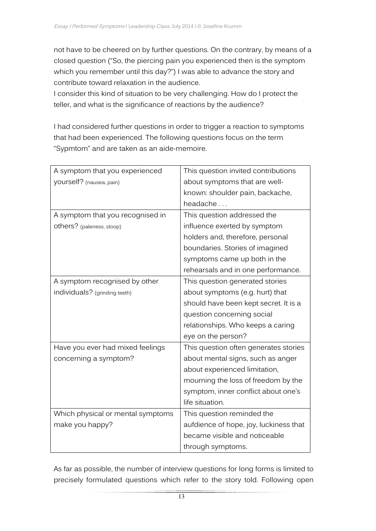not have to be cheered on by further questions. On the contrary, by means of a closed question ("So, the piercing pain you experienced then is the symptom which you remember until this day?") I was able to advance the story and contribute toward relaxation in the audience.

I consider this kind of situation to be very challenging. How do I protect the teller, and what is the significance of reactions by the audience?

I had considered further questions in order to trigger a reaction to symptoms that had been experienced. The following questions focus on the term "Sypmtom" and are taken as an aide-memoire.

| A symptom that you experienced    | This question invited contributions    |
|-----------------------------------|----------------------------------------|
| yourself? (nausea, pain)          | about symptoms that are well-          |
|                                   | known: shoulder pain, backache,        |
|                                   | headache                               |
| A symptom that you recognised in  | This question addressed the            |
| others? (paleness, stoop)         | influence exerted by symptom           |
|                                   | holders and, therefore, personal       |
|                                   | boundaries. Stories of imagined        |
|                                   | symptoms came up both in the           |
|                                   | rehearsals and in one performance.     |
| A symptom recognised by other     | This question generated stories        |
| individuals? (grinding teeth)     | about symptoms (e.g. hurt) that        |
|                                   | should have been kept secret. It is a  |
|                                   | question concerning social             |
|                                   | relationships. Who keeps a caring      |
|                                   | eye on the person?                     |
| Have you ever had mixed feelings  | This question often generates stories  |
| concerning a symptom?             | about mental signs, such as anger      |
|                                   | about experienced limitation,          |
|                                   | mourning the loss of freedom by the    |
|                                   | symptom, inner conflict about one's    |
|                                   | life situation.                        |
| Which physical or mental symptoms | This question reminded the             |
| make you happy?                   | aufdience of hope, joy, luckiness that |
|                                   | became visible and noticeable          |
|                                   | through symptoms.                      |

As far as possible, the number of interview questions for long forms is limited to precisely formulated questions which refer to the story told. Following open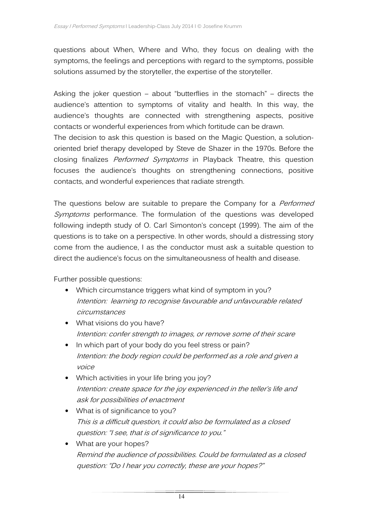questions about When, Where and Who, they focus on dealing with the symptoms, the feelings and perceptions with regard to the symptoms, possible solutions assumed by the storyteller, the expertise of the storyteller.

Asking the joker question – about "butterflies in the stomach" – directs the audience's attention to symptoms of vitality and health. In this way, the audience's thoughts are connected with strengthening aspects, positive contacts or wonderful experiences from which fortitude can be drawn.

The decision to ask this question is based on the Magic Question, a solutionoriented brief therapy developed by Steve de Shazer in the 1970s. Before the closing finalizes *Performed Symptoms* in Playback Theatre, this question focuses the audience's thoughts on strengthening connections, positive contacts, and wonderful experiences that radiate strength.

The questions below are suitable to prepare the Company for a *Performed* Symptoms performance. The formulation of the questions was developed following indepth study of O. Carl Simonton's concept (1999). The aim of the questions is to take on a perspective. In other words, should a distressing story come from the audience, I as the conductor must ask a suitable question to direct the audience's focus on the simultaneousness of health and disease.

Further possible questions:

- Which circumstance triggers what kind of symptom in you? Intention: learning to recognise favourable and unfavourable related circumstances
- What visions do you have? Intention: confer strength to images, or remove some of their scare
- In which part of your body do you feel stress or pain? Intention: the body region could be performed as a role and given a voice
- Which activities in your life bring you joy? Intention: create space for the joy experienced in the teller's life and ask for possibilities of enactment
- What is of significance to you? This is a difficult question, it could also be formulated as a closed question: "I see, that is of significance to you."
- What are your hopes? Remind the audience of possibilities. Could be formulated as a closed question: "Do I hear you correctly, these are your hopes?"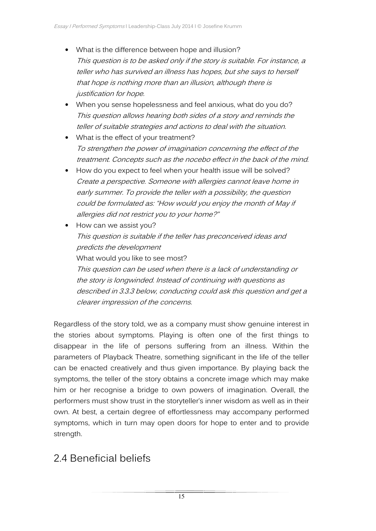- What is the difference between hope and illusion? This question is to be asked only if the story is suitable. For instance, a teller who has survived an illness has hopes, but she says to herself that hope is nothing more than an illusion, although there is justification for hope.
- When you sense hopelessness and feel anxious, what do you do? This question allows hearing both sides of a story and reminds the teller of suitable strategies and actions to deal with the situation.
- What is the effect of your treatment? To strengthen the power of imagination concerning the effect of the treatment. Concepts such as the nocebo effect in the back of the mind.
- How do you expect to feel when your health issue will be solved? Create a perspective. Someone with allergies cannot leave home in early summer. To provide the teller with a possibility, the question could be formulated as: "How would you enjoy the month of May if allergies did not restrict you to your home?"
- How can we assist you? This question is suitable if the teller has preconceived ideas and predicts the development What would you like to see most? This question can be used when there is a lack of understanding or the story is longwinded. Instead of continuing with questions as

described in 3.3.3 below, conducting could ask this question and get a clearer impression of the concerns.

Regardless of the story told, we as a company must show genuine interest in the stories about symptoms. Playing is often one of the first things to disappear in the life of persons suffering from an illness. Within the parameters of Playback Theatre, something significant in the life of the teller can be enacted creatively and thus given importance. By playing back the symptoms, the teller of the story obtains a concrete image which may make him or her recognise a bridge to own powers of imagination. Overall, the performers must show trust in the storyteller's inner wisdom as well as in their own. At best, a certain degree of effortlessness may accompany performed symptoms, which in turn may open doors for hope to enter and to provide strength.

### 2.4 Beneficial beliefs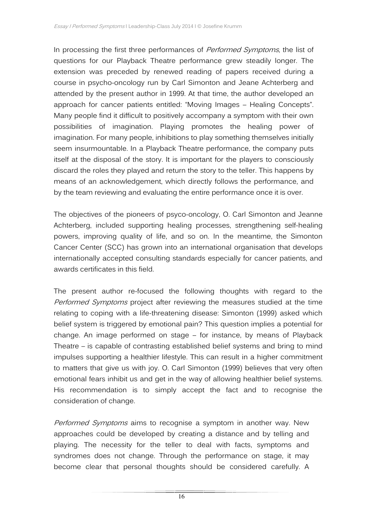In processing the first three performances of Performed Symptoms, the list of questions for our Playback Theatre performance grew steadily longer. The extension was preceded by renewed reading of papers received during a course in psycho-oncology run by Carl Simonton and Jeane Achterberg and attended by the present author in 1999. At that time, the author developed an approach for cancer patients entitled: "Moving Images – Healing Concepts". Many people find it difficult to positively accompany a symptom with their own possibilities of imagination. Playing promotes the healing power of imagination. For many people, inhibitions to play something themselves initially seem insurmountable. In a Playback Theatre performance, the company puts itself at the disposal of the story. It is important for the players to consciously discard the roles they played and return the story to the teller. This happens by means of an acknowledgement, which directly follows the performance, and by the team reviewing and evaluating the entire performance once it is over.

The objectives of the pioneers of psyco-oncology, O. Carl Simonton and Jeanne Achterberg, included supporting healing processes, strengthening self-healing powers, improving quality of life, and so on. In the meantime, the Simonton Cancer Center (SCC) has grown into an international organisation that develops internationally accepted consulting standards especially for cancer patients, and awards certificates in this field.

The present author re-focused the following thoughts with regard to the Performed Symptoms project after reviewing the measures studied at the time relating to coping with a life-threatening disease: Simonton (1999) asked which belief system is triggered by emotional pain? This question implies a potential for change. An image performed on stage – for instance, by means of Playback Theatre – is capable of contrasting established belief systems and bring to mind impulses supporting a healthier lifestyle. This can result in a higher commitment to matters that give us with joy. O. Carl Simonton (1999) believes that very often emotional fears inhibit us and get in the way of allowing healthier belief systems. His recommendation is to simply accept the fact and to recognise the consideration of change.

Performed Symptoms aims to recognise a symptom in another way. New approaches could be developed by creating a distance and by telling and playing. The necessity for the teller to deal with facts, symptoms and syndromes does not change. Through the performance on stage, it may become clear that personal thoughts should be considered carefully. A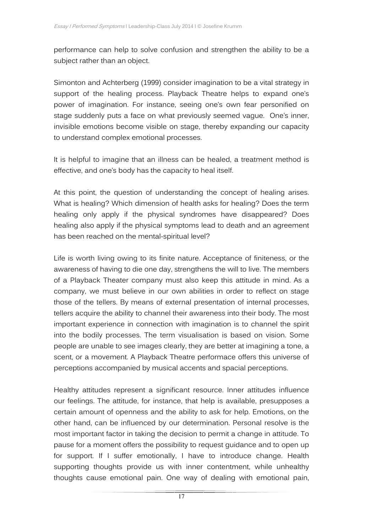performance can help to solve confusion and strengthen the ability to be a subject rather than an object.

Simonton and Achterberg (1999) consider imagination to be a vital strategy in support of the healing process. Playback Theatre helps to expand one's power of imagination. For instance, seeing one's own fear personified on stage suddenly puts a face on what previously seemed vague. One's inner, invisible emotions become visible on stage, thereby expanding our capacity to understand complex emotional processes.

It is helpful to imagine that an illness can be healed, a treatment method is effective, and one's body has the capacity to heal itself.

At this point, the question of understanding the concept of healing arises. What is healing? Which dimension of health asks for healing? Does the term healing only apply if the physical syndromes have disappeared? Does healing also apply if the physical symptoms lead to death and an agreement has been reached on the mental-spiritual level?

Life is worth living owing to its finite nature. Acceptance of finiteness, or the awareness of having to die one day, strengthens the will to live. The members of a Playback Theater company must also keep this attitude in mind. As a company, we must believe in our own abilities in order to reflect on stage those of the tellers. By means of external presentation of internal processes, tellers acquire the ability to channel their awareness into their body. The most important experience in connection with imagination is to channel the spirit into the bodily processes. The term visualisation is based on vision. Some people are unable to see images clearly, they are better at imagining a tone, a scent, or a movement. A Playback Theatre performace offers this universe of perceptions accompanied by musical accents and spacial perceptions.

Healthy attitudes represent a significant resource. Inner attitudes influence our feelings. The attitude, for instance, that help is available, presupposes a certain amount of openness and the ability to ask for help. Emotions, on the other hand, can be influenced by our determination. Personal resolve is the most important factor in taking the decision to permit a change in attitude. To pause for a moment offers the possibility to request guidance and to open up for support. If I suffer emotionally, I have to introduce change. Health supporting thoughts provide us with inner contentment, while unhealthy thoughts cause emotional pain. One way of dealing with emotional pain,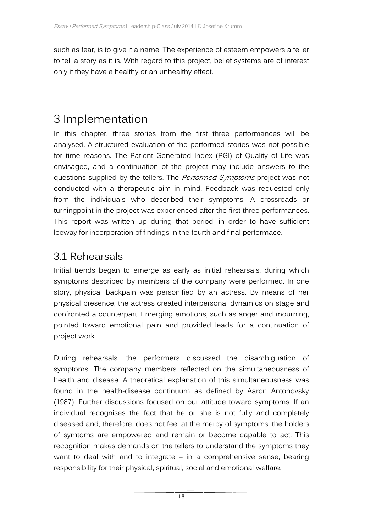such as fear, is to give it a name. The experience of esteem empowers a teller to tell a story as it is. With regard to this project, belief systems are of interest only if they have a healthy or an unhealthy effect.

## 3 Implementation

In this chapter, three stories from the first three performances will be analysed. A structured evaluation of the performed stories was not possible for time reasons. The Patient Generated Index (PGI) of Quality of Life was envisaged, and a continuation of the project may include answers to the questions supplied by the tellers. The Performed Symptoms project was not conducted with a therapeutic aim in mind. Feedback was requested only from the individuals who described their symptoms. A crossroads or turningpoint in the project was experienced after the first three performances. This report was written up during that period, in order to have sufficient leeway for incorporation of findings in the fourth and final performace.

### 3.1 Rehearsals

Initial trends began to emerge as early as initial rehearsals, during which symptoms described by members of the company were performed. In one story, physical backpain was personified by an actress. By means of her physical presence, the actress created interpersonal dynamics on stage and confronted a counterpart. Emerging emotions, such as anger and mourning, pointed toward emotional pain and provided leads for a continuation of project work.

During rehearsals, the performers discussed the disambiguation of symptoms. The company members reflected on the simultaneousness of health and disease. A theoretical explanation of this simultaneousness was found in the health-disease continuum as defined by Aaron Antonovsky (1987). Further discussions focused on our attitude toward symptoms: If an individual recognises the fact that he or she is not fully and completely diseased and, therefore, does not feel at the mercy of symptoms, the holders of symtoms are empowered and remain or become capable to act. This recognition makes demands on the tellers to understand the symptoms they want to deal with and to integrate – in a comprehensive sense, bearing responsibility for their physical, spiritual, social and emotional welfare.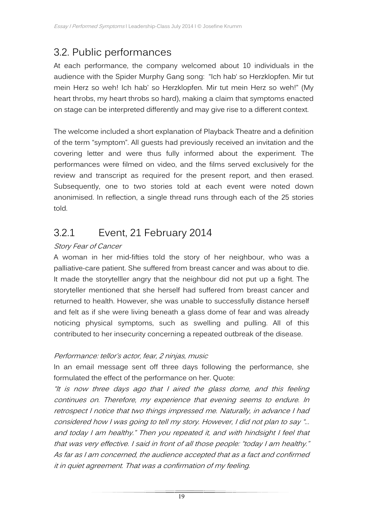## 3.2. Public performances

At each performance, the company welcomed about 10 individuals in the audience with the Spider Murphy Gang song: "Ich hab' so Herzklopfen. Mir tut mein Herz so weh! Ich hab' so Herzklopfen. Mir tut mein Herz so weh!" (My heart throbs, my heart throbs so hard), making a claim that symptoms enacted on stage can be interpreted differently and may give rise to a different context.

The welcome included a short explanation of Playback Theatre and a definition of the term "symptom". All guests had previously received an invitation and the covering letter and were thus fully informed about the experiment. The performances were filmed on video, and the films served exclusively for the review and transcript as required for the present report, and then erased. Subsequently, one to two stories told at each event were noted down anonimised. In reflection, a single thread runs through each of the 25 stories told.

## 3.2.1 Event, 21 February 2014

#### Story Fear of Cancer

A woman in her mid-fifties told the story of her neighbour, who was a palliative-care patient. She suffered from breast cancer and was about to die. It made the storytelller angry that the neighbour did not put up a fight. The storyteller mentioned that she herself had suffered from breast cancer and returned to health. However, she was unable to successfully distance herself and felt as if she were living beneath a glass dome of fear and was already noticing physical symptoms, such as swelling and pulling. All of this contributed to her insecurity concerning a repeated outbreak of the disease.

#### Performance: tellor's actor, fear, 2 ninjas, music

In an email message sent off three days following the performance, she formulated the effect of the performance on her. Quote:

"It is now three days ago that I aired the glass dome, and this feeling continues on. Therefore, my experience that evening seems to endure. In retrospect I notice that two things impressed me. Naturally, in advance I had considered how I was going to tell my story. However, I did not plan to say "... and today I am healthy." Then you repeated it, and with hindsight I feel that that was very effective. I said in front of all those people: "today I am healthy." As far as I am concerned, the audience accepted that as a fact and confirmed it in quiet agreement. That was a confirmation of my feeling.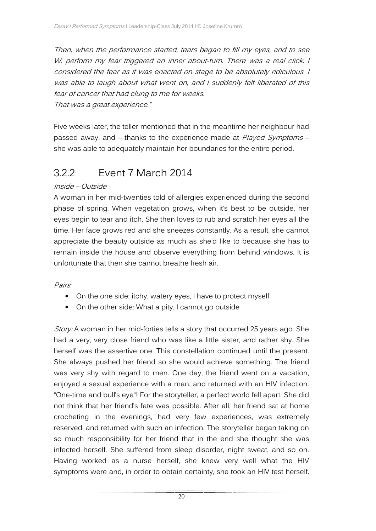Then, when the performance started, tears began to fill my eyes, and to see W. perform my fear triggered an inner about-turn. There was a real click. I considered the fear as it was enacted on stage to be absolutely ridiculous. I was able to laugh about what went on, and I suddenly felt liberated of this fear of cancer that had clung to me for weeks.

That was a great experience."

Five weeks later, the teller mentioned that in the meantime her neighbour had passed away, and – thanks to the experience made at Played Symptoms – she was able to adequately maintain her boundaries for the entire period.

### 3.2.2 Event 7 March 2014

#### Inside – Outside

A woman in her mid-twenties told of allergies experienced during the second phase of spring. When vegetation grows, when it's best to be outside, her eyes begin to tear and itch. She then loves to rub and scratch her eyes all the time. Her face grows red and she sneezes constantly. As a result, she cannot appreciate the beauty outside as much as she'd like to because she has to remain inside the house and observe everything from behind windows. It is unfortunate that then she cannot breathe fresh air.

#### Pairs:

- On the one side: itchy, watery eyes, I have to protect myself
- On the other side: What a pity, I cannot go outside

Story: A woman in her mid-forties tells a story that occurred 25 years ago. She had a very, very close friend who was like a little sister, and rather shy. She herself was the assertive one. This constellation continued until the present. She always pushed her friend so she would achieve something. The friend was very shy with regard to men. One day, the friend went on a vacation, enjoyed a sexual experience with a man, and returned with an HIV infection: "One-time and bull's eye"! For the storyteller, a perfect world fell apart. She did not think that her friend's fate was possible. After all, her friend sat at home crocheting in the evenings, had very few experiences, was extremely reserved, and returned with such an infection. The storyteller began taking on so much responsibility for her friend that in the end she thought she was infected herself. She suffered from sleep disorder, night sweat, and so on. Having worked as a nurse herself, she knew very well what the HIV symptoms were and, in order to obtain certainty, she took an HIV test herself.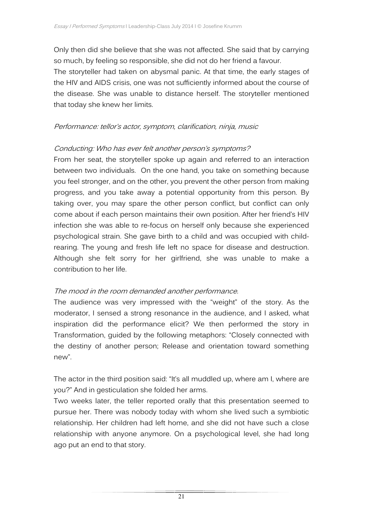Only then did she believe that she was not affected. She said that by carrying so much, by feeling so responsible, she did not do her friend a favour.

The storyteller had taken on abysmal panic. At that time, the early stages of the HIV and AIDS crisis, one was not sufficiently informed about the course of the disease. She was unable to distance herself. The storyteller mentioned that today she knew her limits.

#### Performance: tellor's actor, symptom, clarification, ninja, music

#### Conducting: Who has ever felt another person's symptoms?

From her seat, the storyteller spoke up again and referred to an interaction between two individuals. On the one hand, you take on something because you feel stronger, and on the other, you prevent the other person from making progress, and you take away a potential opportunity from this person. By taking over, you may spare the other person conflict, but conflict can only come about if each person maintains their own position. After her friend's HIV infection she was able to re-focus on herself only because she experienced psychological strain. She gave birth to a child and was occupied with childrearing. The young and fresh life left no space for disease and destruction. Although she felt sorry for her girlfriend, she was unable to make a contribution to her life.

#### The mood in the room demanded another performance.

The audience was very impressed with the "weight" of the story. As the moderator, I sensed a strong resonance in the audience, and I asked, what inspiration did the performance elicit? We then performed the story in Transformation, guided by the following metaphors: "Closely connected with the destiny of another person; Release and orientation toward something new".

The actor in the third position said: "It's all muddled up, where am I, where are you?" And in gesticulation she folded her arms.

Two weeks later, the teller reported orally that this presentation seemed to pursue her. There was nobody today with whom she lived such a symbiotic relationship. Her children had left home, and she did not have such a close relationship with anyone anymore. On a psychological level, she had long ago put an end to that story.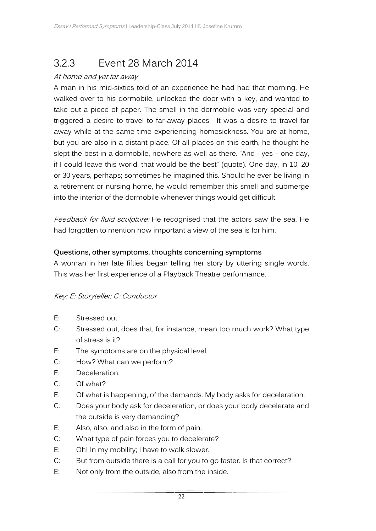## 3.2.3 Event 28 March 2014

#### At home and yet far away

A man in his mid-sixties told of an experience he had had that morning. He walked over to his dormobile, unlocked the door with a key, and wanted to take out a piece of paper. The smell in the dormobile was very special and triggered a desire to travel to far-away places. It was a desire to travel far away while at the same time experiencing homesickness. You are at home, but you are also in a distant place. Of all places on this earth, he thought he slept the best in a dormobile, nowhere as well as there. "And - yes – one day, if I could leave this world, that would be the best" (quote). One day, in 10, 20 or 30 years, perhaps; sometimes he imagined this. Should he ever be living in a retirement or nursing home, he would remember this smell and submerge into the interior of the dormobile whenever things would get difficult.

Feedback for fluid sculpture: He recognised that the actors saw the sea. He had forgotten to mention how important a view of the sea is for him.

#### **Questions, other symptoms, thoughts concerning symptoms**

A woman in her late fifties began telling her story by uttering single words. This was her first experience of a Playback Theatre performance.

#### Key: E: Storyteller; C: Conductor

- E: Stressed out.
- C: Stressed out, does that, for instance, mean too much work? What type of stress is it?
- E: The symptoms are on the physical level.
- C: How? What can we perform?
- E: Deceleration.
- C: Of what?
- E: Of what is happening, of the demands. My body asks for deceleration.
- C: Does your body ask for deceleration, or does your body decelerate and the outside is very demanding?
- E: Also, also, and also in the form of pain.
- C: What type of pain forces you to decelerate?
- E: Oh! In my mobility; I have to walk slower.
- C: But from outside there is a call for you to go faster. Is that correct?
- E: Not only from the outside, also from the inside.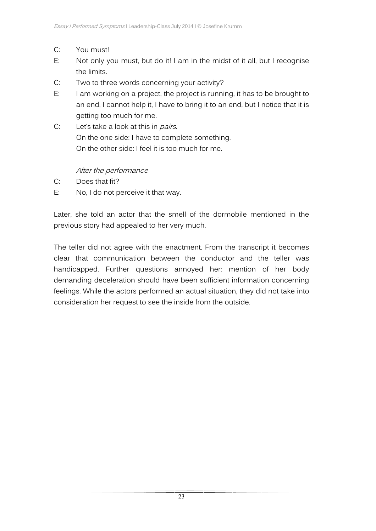- C: You must!
- E: Not only you must, but do it! I am in the midst of it all, but I recognise the limits.
- C: Two to three words concerning your activity?
- E: I am working on a project, the project is running, it has to be brought to an end, I cannot help it, I have to bring it to an end, but I notice that it is getting too much for me.
- $C:$  Let's take a look at this in *pairs*. On the one side: I have to complete something. On the other side: I feel it is too much for me.

#### After the performance

- C: Does that fit?
- E: No, I do not perceive it that way.

Later, she told an actor that the smell of the dormobile mentioned in the previous story had appealed to her very much.

The teller did not agree with the enactment. From the transcript it becomes clear that communication between the conductor and the teller was handicapped. Further questions annoyed her: mention of her body demanding deceleration should have been sufficient information concerning feelings. While the actors performed an actual situation, they did not take into consideration her request to see the inside from the outside.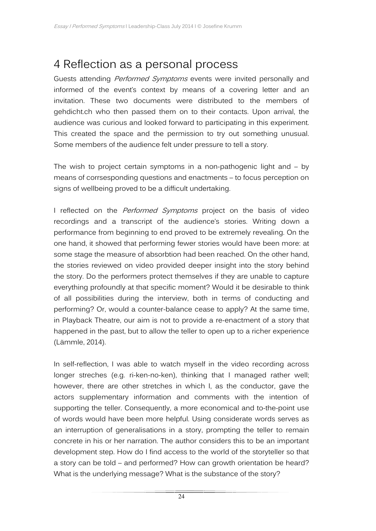## 4 Reflection as a personal process

Guests attending Performed Symptoms events were invited personally and informed of the event's context by means of a covering letter and an invitation. These two documents were distributed to the members of gehdicht.ch who then passed them on to their contacts. Upon arrival, the audience was curious and looked forward to participating in this experiment. This created the space and the permission to try out something unusual. Some members of the audience felt under pressure to tell a story.

The wish to project certain symptoms in a non-pathogenic light and – by means of corrsesponding questions and enactments – to focus perception on signs of wellbeing proved to be a difficult undertaking.

I reflected on the *Performed Symptoms* project on the basis of video recordings and a transcript of the audience's stories. Writing down a performance from beginning to end proved to be extremely revealing. On the one hand, it showed that performing fewer stories would have been more: at some stage the measure of absorbtion had been reached. On the other hand, the stories reviewed on video provided deeper insight into the story behind the story. Do the performers protect themselves if they are unable to capture everything profoundly at that specific moment? Would it be desirable to think of all possibilities during the interview, both in terms of conducting and performing? Or, would a counter-balance cease to apply? At the same time, in Playback Theatre, our aim is not to provide a re-enactment of a story that happened in the past, but to allow the teller to open up to a richer experience (Lämmle, 2014).

In self-reflection, I was able to watch myself in the video recording across longer streches (e.g. ri-ken-no-ken), thinking that I managed rather well; however, there are other stretches in which I, as the conductor, gave the actors supplementary information and comments with the intention of supporting the teller. Consequently, a more economical and to-the-point use of words would have been more helpful. Using considerate words serves as an interruption of generalisations in a story, prompting the teller to remain concrete in his or her narration. The author considers this to be an important development step. How do I find access to the world of the storyteller so that a story can be told – and performed? How can growth orientation be heard? What is the underlying message? What is the substance of the story?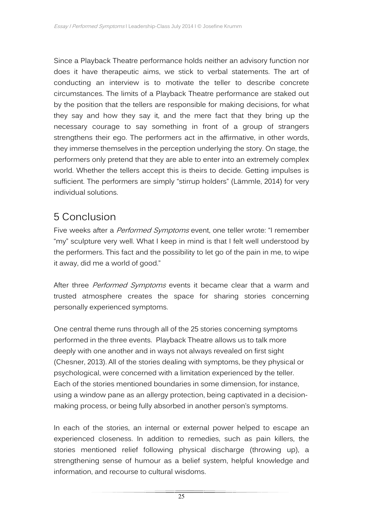Since a Playback Theatre performance holds neither an advisory function nor does it have therapeutic aims, we stick to verbal statements. The art of conducting an interview is to motivate the teller to describe concrete circumstances. The limits of a Playback Theatre performance are staked out by the position that the tellers are responsible for making decisions, for what they say and how they say it, and the mere fact that they bring up the necessary courage to say something in front of a group of strangers strengthens their ego. The performers act in the affirmative, in other words, they immerse themselves in the perception underlying the story. On stage, the performers only pretend that they are able to enter into an extremely complex world. Whether the tellers accept this is theirs to decide. Getting impulses is sufficient. The performers are simply "stirrup holders" (Lämmle, 2014) for very individual solutions.

### 5 Conclusion

Five weeks after a *Performed Symptoms* event, one teller wrote: "I remember "my" sculpture very well. What I keep in mind is that I felt well understood by the performers. This fact and the possibility to let go of the pain in me, to wipe it away, did me a world of good."

After three Performed Symptoms events it became clear that a warm and trusted atmosphere creates the space for sharing stories concerning personally experienced symptoms.

One central theme runs through all of the 25 stories concerning symptoms performed in the three events. Playback Theatre allows us to talk more deeply with one another and in ways not always revealed on first sight (Chesner, 2013). All of the stories dealing with symptoms, be they physical or psychological, were concerned with a limitation experienced by the teller. Each of the stories mentioned boundaries in some dimension, for instance, using a window pane as an allergy protection, being captivated in a decisionmaking process, or being fully absorbed in another person's symptoms.

In each of the stories, an internal or external power helped to escape an experienced closeness. In addition to remedies, such as pain killers, the stories mentioned relief following physical discharge (throwing up), a strengthening sense of humour as a belief system, helpful knowledge and information, and recourse to cultural wisdoms.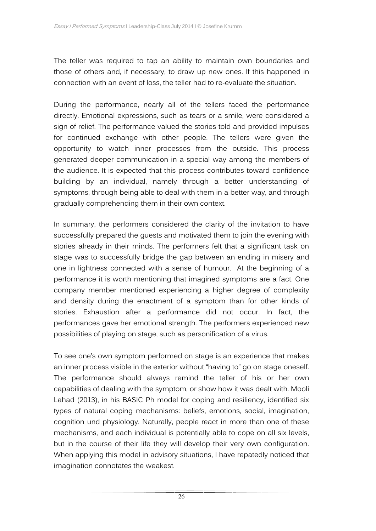The teller was required to tap an ability to maintain own boundaries and those of others and, if necessary, to draw up new ones. If this happened in connection with an event of loss, the teller had to re-evaluate the situation.

During the performance, nearly all of the tellers faced the performance directly. Emotional expressions, such as tears or a smile, were considered a sign of relief. The performance valued the stories told and provided impulses for continued exchange with other people. The tellers were given the opportunity to watch inner processes from the outside. This process generated deeper communication in a special way among the members of the audience. It is expected that this process contributes toward confidence building by an individual, namely through a better understanding of symptoms, through being able to deal with them in a better way, and through gradually comprehending them in their own context.

In summary, the performers considered the clarity of the invitation to have successfully prepared the guests and motivated them to join the evening with stories already in their minds. The performers felt that a significant task on stage was to successfully bridge the gap between an ending in misery and one in lightness connected with a sense of humour. At the beginning of a performance it is worth mentioning that imagined symptoms are a fact. One company member mentioned experiencing a higher degree of complexity and density during the enactment of a symptom than for other kinds of stories. Exhaustion after a performance did not occur. In fact, the performances gave her emotional strength. The performers experienced new possibilities of playing on stage, such as personification of a virus.

To see one's own symptom performed on stage is an experience that makes an inner process visible in the exterior without "having to" go on stage oneself. The performance should always remind the teller of his or her own capabilities of dealing with the symptom, or show how it was dealt with. Mooli Lahad (2013), in his BASIC Ph model for coping and resiliency, identified six types of natural coping mechanisms: beliefs, emotions, social, imagination, cognition und physiology. Naturally, people react in more than one of these mechanisms, and each individual is potentially able to cope on all six levels, but in the course of their life they will develop their very own configuration. When applying this model in advisory situations, I have repatedly noticed that imagination connotates the weakest.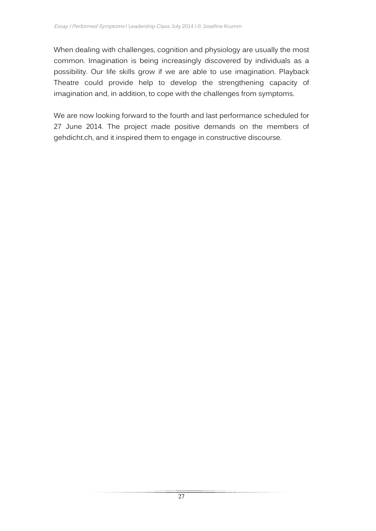When dealing with challenges, cognition and physiology are usually the most common. Imagination is being increasingly discovered by individuals as a possibility. Our life skills grow if we are able to use imagination. Playback Theatre could provide help to develop the strengthening capacity of imagination and, in addition, to cope with the challenges from symptoms.

We are now looking forward to the fourth and last performance scheduled for 27 June 2014. The project made positive demands on the members of gehdicht.ch, and it inspired them to engage in constructive discourse.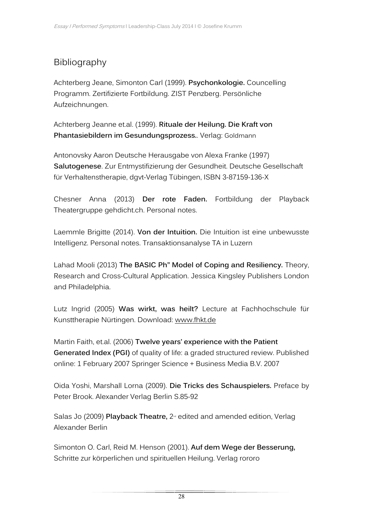### Bibliography

Achterberg Jeane, Simonton Carl (1999). **Psychonkologie.** Councelling Programm. Zertifizierte Fortbildung. ZIST Penzberg. Persönliche Aufzeichnungen.

Achterberg Jeanne et.al. (1999). **Rituale der Heilung. Die Kraft von Phantasiebildern im Gesundungsprozess.**. Verlag: Goldmann

Antonovsky Aaron Deutsche Herausgabe von Alexa Franke (1997) **Salutogenese**. Zur Entmystifizierung der Gesundheit. Deutsche Gesellschaft für Verhaltenstherapie, dgvt-Verlag Tübingen, ISBN 3-87159-136-X

Chesner Anna (2013) **Der rote Faden.** Fortbildung der Playback Theatergruppe gehdicht.ch. Personal notes.

Laemmle Brigitte (2014). **Von der Intuition.** Die Intuition ist eine unbewusste Intelligenz. Personal notes. Transaktionsanalyse TA in Luzern

Lahad Mooli (2013) **The BASIC Ph" Model of Coping and Resiliency.** Theory, Research and Cross-Cultural Application. Jessica Kingsley Publishers London and Philadelphia.

Lutz Ingrid (2005) **Was wirkt, was heilt?** Lecture at Fachhochschule für Kunsttherapie Nürtingen. Download: www.fhkt.de

Martin Faith, et.al. (2006) **Twelve years' experience with the Patient Generated Index (PGI)** of quality of life: a graded structured review. Published online: 1 February 2007 Springer Science + Business Media B.V. 2007

Oida Yoshi, Marshall Lorna (2009). **Die Tricks des Schauspielers.** Preface by Peter Brook. Alexander Verlag Berlin S.85-92

Salas Jo (2009) **Playback Theatre**, 2<sup>nd</sup> edited and amended edition, Verlag Alexander Berlin

Simonton O. Carl, Reid M. Henson (2001). **Auf dem Wege der Besserung,**  Schritte zur körperlichen und spirituellen Heilung. Verlag rororo